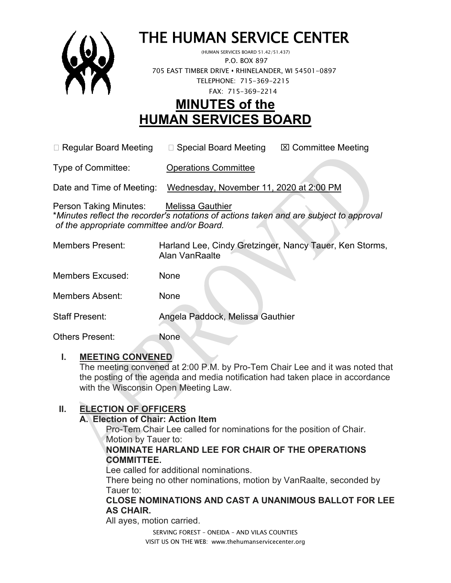

# THE HUMAN SERVICE CENTER (HUMAN SERVICES BOARD 51.42/51.437)

 P.O. BOX 897 705 EAST TIMBER DRIVE **•** RHINELANDER, WI 54501-0897 TELEPHONE: 715-369-2215 FAX: 715-369-2214

# **MINUTES of the HUMAN SERVICES BOARD**

 $\Box$  Regular Board Meeting  $\Box$  Special Board Meeting  $\Box$  Committee Meeting

Type of Committee: Operations Committee

Date and Time of Meeting: Wednesday, November 11, 2020 at 2:00 PM

Person Taking Minutes: Melissa Gauthier \**Minutes reflect the recorder's notations of actions taken and are subject to approval of the appropriate committee and/or Board.*

| Members Present:        | Harland Lee, Cindy Gretzinger, Nancy Tauer, Ken Storms,<br>Alan VanRaalte |
|-------------------------|---------------------------------------------------------------------------|
| <b>Members Excused:</b> | None                                                                      |
| <b>Members Absent:</b>  | None                                                                      |
| <b>Staff Present:</b>   | Angela Paddock, Melissa Gauthier                                          |
| Others Present:         | None                                                                      |

## **I. MEETING CONVENED**

The meeting convened at 2:00 P.M. by Pro-Tem Chair Lee and it was noted that the posting of the agenda and media notification had taken place in accordance with the Wisconsin Open Meeting Law.

# **II. ELECTION OF OFFICERS**

#### **A. Election of Chair: Action Item**

Pro-Tem Chair Lee called for nominations for the position of Chair. Motion by Tauer to:

#### **NOMINATE HARLAND LEE FOR CHAIR OF THE OPERATIONS COMMITTEE.**

Lee called for additional nominations.

There being no other nominations, motion by VanRaalte, seconded by Tauer to:

#### **CLOSE NOMINATIONS AND CAST A UNANIMOUS BALLOT FOR LEE AS CHAIR.**

All ayes, motion carried.

SERVING FOREST – ONEIDA – AND VILAS COUNTIES VISIT US ON THE WEB: www.thehumanservicecenter.org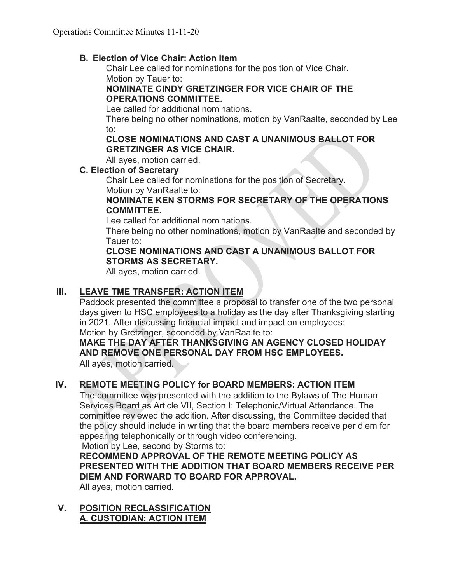#### **B. Election of Vice Chair: Action Item**

Chair Lee called for nominations for the position of Vice Chair. Motion by Tauer to:

#### **NOMINATE CINDY GRETZINGER FOR VICE CHAIR OF THE OPERATIONS COMMITTEE.**

Lee called for additional nominations.

There being no other nominations, motion by VanRaalte, seconded by Lee to:

#### **CLOSE NOMINATIONS AND CAST A UNANIMOUS BALLOT FOR GRETZINGER AS VICE CHAIR.**

All ayes, motion carried.

#### **C. Election of Secretary**

Chair Lee called for nominations for the position of Secretary. Motion by VanRaalte to:

#### **NOMINATE KEN STORMS FOR SECRETARY OF THE OPERATIONS COMMITTEE.**

Lee called for additional nominations.

There being no other nominations, motion by VanRaalte and seconded by Tauer to:

#### **CLOSE NOMINATIONS AND CAST A UNANIMOUS BALLOT FOR STORMS AS SECRETARY.**

All ayes, motion carried.

## **III. LEAVE TME TRANSFER: ACTION ITEM**

Paddock presented the committee a proposal to transfer one of the two personal days given to HSC employees to a holiday as the day after Thanksgiving starting in 2021. After discussing financial impact and impact on employees:

Motion by Gretzinger, seconded by VanRaalte to:

#### **MAKE THE DAY AFTER THANKSGIVING AN AGENCY CLOSED HOLIDAY AND REMOVE ONE PERSONAL DAY FROM HSC EMPLOYEES.**

All ayes, motion carried.

# **IV. REMOTE MEETING POLICY for BOARD MEMBERS: ACTION ITEM**

The committee was presented with the addition to the Bylaws of The Human Services Board as Article VII, Section I: Telephonic/Virtual Attendance. The committee reviewed the addition. After discussing, the Committee decided that the policy should include in writing that the board members receive per diem for appearing telephonically or through video conferencing. Motion by Lee, second by Storms to:

**RECOMMEND APPROVAL OF THE REMOTE MEETING POLICY AS PRESENTED WITH THE ADDITION THAT BOARD MEMBERS RECEIVE PER DIEM AND FORWARD TO BOARD FOR APPROVAL.**

All ayes, motion carried.

#### **V. POSITION RECLASSIFICATION A. CUSTODIAN: ACTION ITEM**